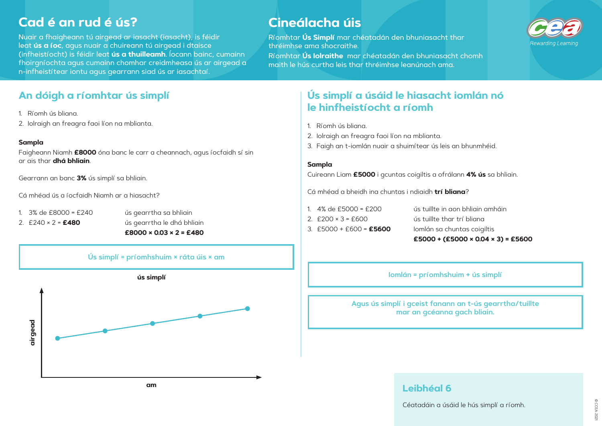# **Cad é an rud é ús?**

Nuair a fhaigheann tú airgead ar iasacht (iasacht), is féidir leat **ús a íoc**, agus nuair a chuireann tú airgead i dtaisce (infheistíocht) is féidir leat **ús a thuilleamh**. Íocann bainc, cumainn fhoirgníochta agus cumainn chomhar creidmheasa ús ar airgead a n-infheistítear iontu agus gearrann siad ús ar iasachtaí.

# **Cineálacha úis**

Ríomhtar **Ús Simplí** mar chéatadán den bhuniasacht thar thréimhse ama shocraithe.

Ríomhtar **Ús Iolraithe** mar chéatadán den bhuniasacht chomh maith le hús curtha leis thar thréimhse leanúnach ama.

## **An dóigh a ríomhtar ús simplí**

- 1. Ríomh ús bliana.
- 2. Iolraigh an freagra faoi líon na mblianta.

### **Sampla**

Faigheann Niamh **£8000** óna banc le carr a cheannach, agus íocfaidh sí sin ar ais thar **dhá bhliain**.

Gearrann an banc **3%** ús simplí sa bhliain.

Cá mhéad ús a íocfaidh Niamh ar a hiasacht?

- 
- 

1. 3% de £8000 = £240 ús gearrtha sa bhliain 2. £240 × 2 = **£480** ús gearrtha le dhá bhliain **Ús simplí a úsáid le hiasacht iomlán nó le hinfheistíocht a ríomh**

- 1. Ríomh ús bliana.
- 2. Iolraigh an freagra faoi líon na mblianta.
- 3. Faigh an t-iomlán nuair a shuimítear ús leis an bhunmhéid.

### **Sampla**

Cuireann Liam **£5000** i gcuntas coigiltis a ofrálann **4% ús** sa bhliain.

Cá mhéad a bheidh ina chuntas i ndiaidh **trí bliana**?

- 
- 
- 



1. 4% de £5000 = £200 ús tuillte in aon bhliain amháin 2. £200 × 3 = £600 ús tuillte thar trí bliana 3. £5000 + £600 = **£5600** Iomlán sa chuntas coigiltis **£5000 + (£5000 × 0.04 × 3) = £5600**

## **Leibhéal 6**

Céatadáin a úsáid le hús simplí a ríomh.

**Agus ús simplí i gceist fanann an t-ús gearrtha/tuillte mar an gcéanna gach bliain. Iomlán = príomhshuim + ús simplí**

**am**